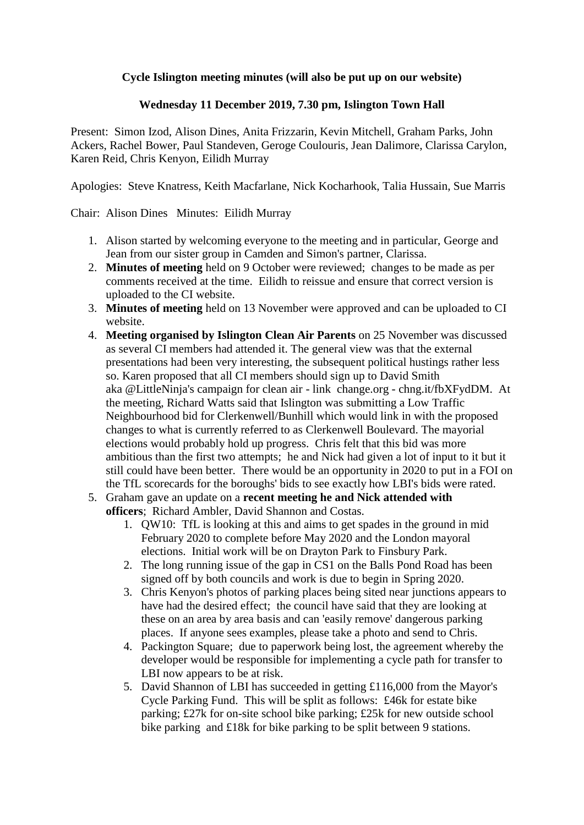## **Cycle Islington meeting minutes (will also be put up on our website)**

## **Wednesday 11 December 2019, 7.30 pm, Islington Town Hall**

Present: Simon Izod, Alison Dines, Anita Frizzarin, Kevin Mitchell, Graham Parks, John Ackers, Rachel Bower, Paul Standeven, Geroge Coulouris, Jean Dalimore, Clarissa Carylon, Karen Reid, Chris Kenyon, Eilidh Murray

Apologies: Steve Knatress, Keith Macfarlane, Nick Kocharhook, Talia Hussain, Sue Marris

Chair: Alison Dines Minutes: Eilidh Murray

- 1. Alison started by welcoming everyone to the meeting and in particular, George and Jean from our sister group in Camden and Simon's partner, Clarissa.
- 2. **Minutes of meeting** held on 9 October were reviewed; changes to be made as per comments received at the time. Eilidh to reissue and ensure that correct version is uploaded to the CI website.
- 3. **Minutes of meeting** held on 13 November were approved and can be uploaded to CI website.
- 4. **Meeting organised by Islington Clean Air Parents** on 25 November was discussed as several CI members had attended it. The general view was that the external presentations had been very interesting, the subsequent political hustings rather less so. Karen proposed that all CI members should sign up to David Smith aka @LittleNinja's campaign for clean air - link change.org - chng.it/fbXFydDM. At the meeting, Richard Watts said that Islington was submitting a Low Traffic Neighbourhood bid for Clerkenwell/Bunhill which would link in with the proposed changes to what is currently referred to as Clerkenwell Boulevard. The mayorial elections would probably hold up progress. Chris felt that this bid was more ambitious than the first two attempts; he and Nick had given a lot of input to it but it still could have been better. There would be an opportunity in 2020 to put in a FOI on the TfL scorecards for the boroughs' bids to see exactly how LBI's bids were rated.
- 5. Graham gave an update on a **recent meeting he and Nick attended with officers**; Richard Ambler, David Shannon and Costas.
	- 1. QW10: TfL is looking at this and aims to get spades in the ground in mid February 2020 to complete before May 2020 and the London mayoral elections. Initial work will be on Drayton Park to Finsbury Park.
	- 2. The long running issue of the gap in CS1 on the Balls Pond Road has been signed off by both councils and work is due to begin in Spring 2020.
	- 3. Chris Kenyon's photos of parking places being sited near junctions appears to have had the desired effect; the council have said that they are looking at these on an area by area basis and can 'easily remove' dangerous parking places. If anyone sees examples, please take a photo and send to Chris.
	- 4. Packington Square; due to paperwork being lost, the agreement whereby the developer would be responsible for implementing a cycle path for transfer to LBI now appears to be at risk.
	- 5. David Shannon of LBI has succeeded in getting £116,000 from the Mayor's Cycle Parking Fund. This will be split as follows: £46k for estate bike parking; £27k for on-site school bike parking; £25k for new outside school bike parking and £18k for bike parking to be split between 9 stations.